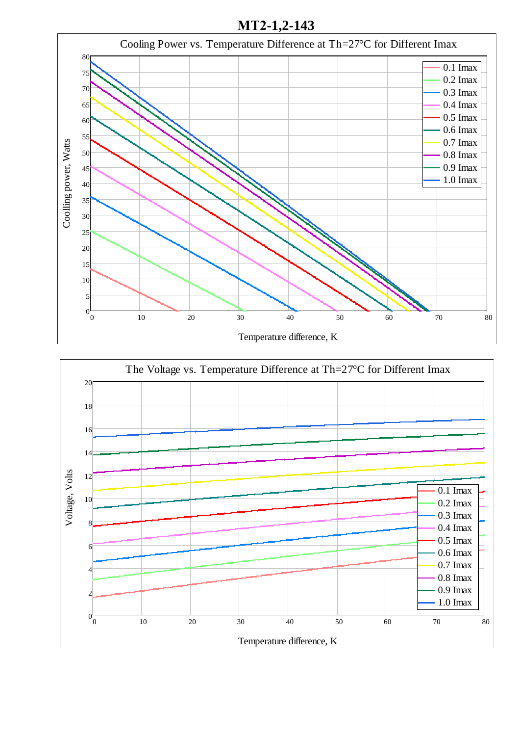**МТ2-1,2-143**



Temperature difference, K